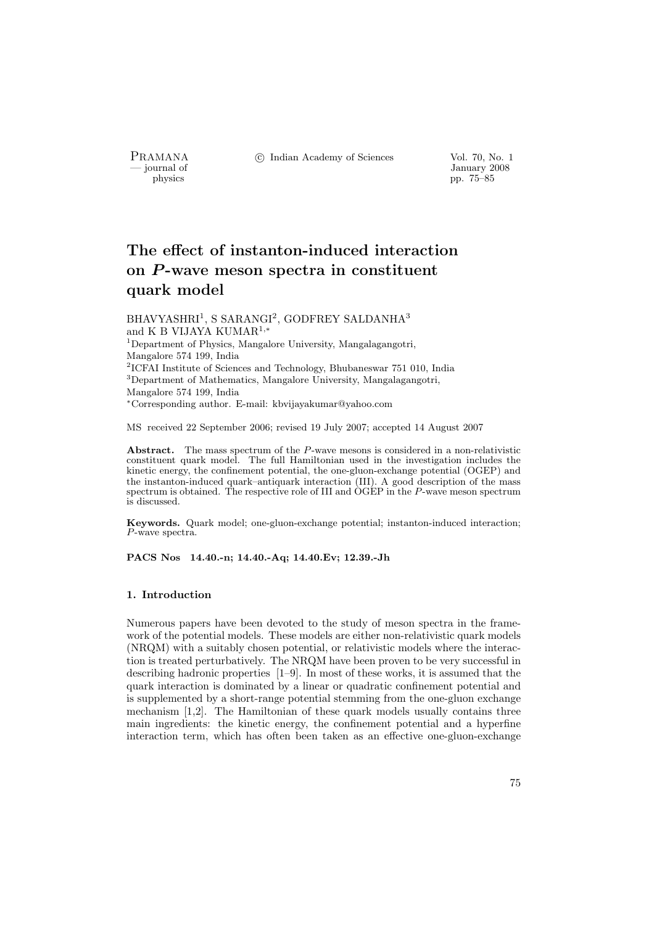PRAMANA °c Indian Academy of Sciences Vol. 70, No. 1

by January 2008<br>
physics property and the physics property of  $\frac{1}{2008}$ pp. 75–85

# The effect of instanton-induced interaction on  $P$ -wave meson spectra in constituent quark model

 $\rm BHAVYASHRI^{1}, \, S \, SARANGI^{2}, \, GODFREV \, SALDANHA^{3}$ and K B VIJAYA KUMAR<sup>1</sup>,<sup>∗</sup> <sup>1</sup>Department of Physics, Mangalore University, Mangalagangotri, Mangalore 574 199, India 2 ICFAI Institute of Sciences and Technology, Bhubaneswar 751 010, India <sup>3</sup>Department of Mathematics, Mangalore University, Mangalagangotri, Mangalore 574 199, India <sup>∗</sup>Corresponding author. E-mail: kbvijayakumar@yahoo.com

MS received 22 September 2006; revised 19 July 2007; accepted 14 August 2007

Abstract. The mass spectrum of the P-wave mesons is considered in a non-relativistic constituent quark model. The full Hamiltonian used in the investigation includes the kinetic energy, the confinement potential, the one-gluon-exchange potential (OGEP) and the instanton-induced quark–antiquark interaction (III). A good description of the mass spectrum is obtained. The respective role of III and OGEP in the P-wave meson spectrum is discussed.

Keywords. Quark model; one-gluon-exchange potential; instanton-induced interaction; P-wave spectra.

PACS Nos 14.40.-n; 14.40.-Aq; 14.40.Ev; 12.39.-Jh

# 1. Introduction

Numerous papers have been devoted to the study of meson spectra in the framework of the potential models. These models are either non-relativistic quark models (NRQM) with a suitably chosen potential, or relativistic models where the interaction is treated perturbatively. The NRQM have been proven to be very successful in describing hadronic properties [1–9]. In most of these works, it is assumed that the quark interaction is dominated by a linear or quadratic confinement potential and is supplemented by a short-range potential stemming from the one-gluon exchange mechanism  $[1,2]$ . The Hamiltonian of these quark models usually contains three main ingredients: the kinetic energy, the confinement potential and a hyperfine interaction term, which has often been taken as an effective one-gluon-exchange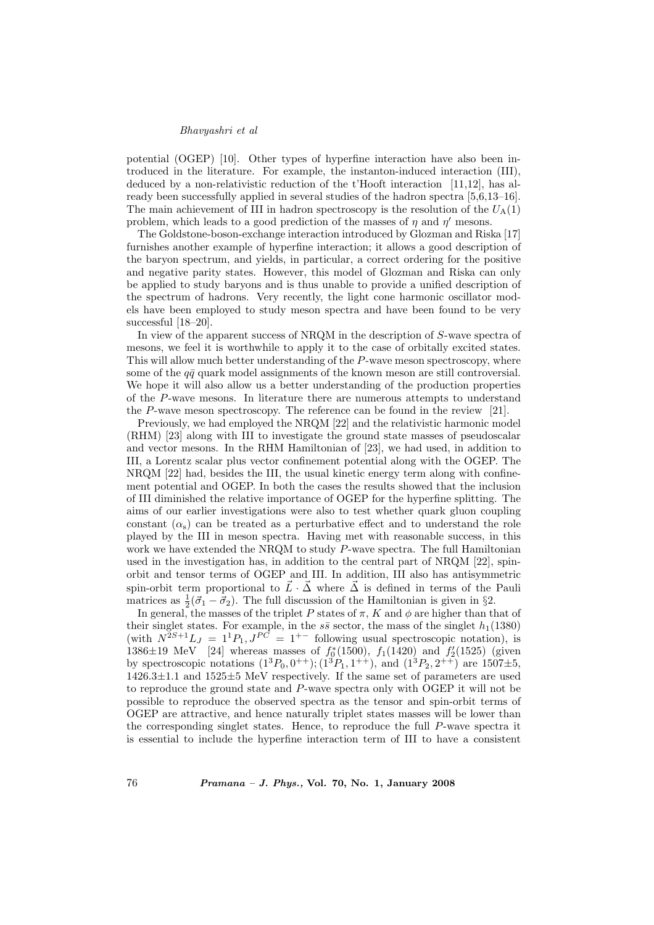### Bhavyashri et al

potential (OGEP) [10]. Other types of hyperfine interaction have also been introduced in the literature. For example, the instanton-induced interaction (III), deduced by a non-relativistic reduction of the t'Hooft interaction [11,12], has already been successfully applied in several studies of the hadron spectra [5,6,13–16]. The main achievement of III in hadron spectroscopy is the resolution of the  $U_A(1)$ problem, which leads to a good prediction of the masses of  $\eta$  and  $\eta'$  mesons.

The Goldstone-boson-exchange interaction introduced by Glozman and Riska [17] furnishes another example of hyperfine interaction; it allows a good description of the baryon spectrum, and yields, in particular, a correct ordering for the positive and negative parity states. However, this model of Glozman and Riska can only be applied to study baryons and is thus unable to provide a unified description of the spectrum of hadrons. Very recently, the light cone harmonic oscillator models have been employed to study meson spectra and have been found to be very successful [18–20].

In view of the apparent success of NRQM in the description of S-wave spectra of mesons, we feel it is worthwhile to apply it to the case of orbitally excited states. This will allow much better understanding of the P-wave meson spectroscopy, where some of the  $q\bar{q}$  quark model assignments of the known meson are still controversial. We hope it will also allow us a better understanding of the production properties of the P-wave mesons. In literature there are numerous attempts to understand the P-wave meson spectroscopy. The reference can be found in the review [21].

Previously, we had employed the NRQM [22] and the relativistic harmonic model (RHM) [23] along with III to investigate the ground state masses of pseudoscalar and vector mesons. In the RHM Hamiltonian of [23], we had used, in addition to III, a Lorentz scalar plus vector confinement potential along with the OGEP. The NRQM [22] had, besides the III, the usual kinetic energy term along with confinement potential and OGEP. In both the cases the results showed that the inclusion of III diminished the relative importance of OGEP for the hyperfine splitting. The aims of our earlier investigations were also to test whether quark gluon coupling constant  $(\alpha_s)$  can be treated as a perturbative effect and to understand the role played by the III in meson spectra. Having met with reasonable success, in this work we have extended the NRQM to study P-wave spectra. The full Hamiltonian used in the investigation has, in addition to the central part of NRQM [22], spinorbit and tensor terms of OGEP and III. In addition, III also has antisymmetric spin-orbit term proportional to  $\vec{L} \cdot \vec{\Delta}$  where  $\vec{\Delta}$  is defined in terms of the Pauli matrices as  $\frac{1}{2}(\vec{\sigma}_1 - \vec{\sigma}_2)$ . The full discussion of the Hamiltonian is given in §2.

In general, the masses of the triplet P states of  $\pi$ , K and  $\phi$  are higher than that of their singlet states. For example, in the  $s\bar{s}$  sector, the mass of the singlet  $h_1(1380)$ (with  $N^{2S+1}L_J = 1^1P_1, J^{PC} = 1^{+-}$  following usual spectroscopic notation), is 1386 $\pm$ 19 MeV [24] whereas masses of  $f_0^*(1500)$ ,  $f_1(1420)$  and  $f_2'(1525)$  (given by spectroscopic notations  $(1^3P_0, 0^{++})$ ;  $(1^3P_1, 1^{++})$ , and  $(1^3P_2, 2^{++})$  are  $1507\pm5$ , 1426.3±1.1 and 1525±5 MeV respectively. If the same set of parameters are used to reproduce the ground state and P-wave spectra only with OGEP it will not be possible to reproduce the observed spectra as the tensor and spin-orbit terms of OGEP are attractive, and hence naturally triplet states masses will be lower than the corresponding singlet states. Hence, to reproduce the full P-wave spectra it is essential to include the hyperfine interaction term of III to have a consistent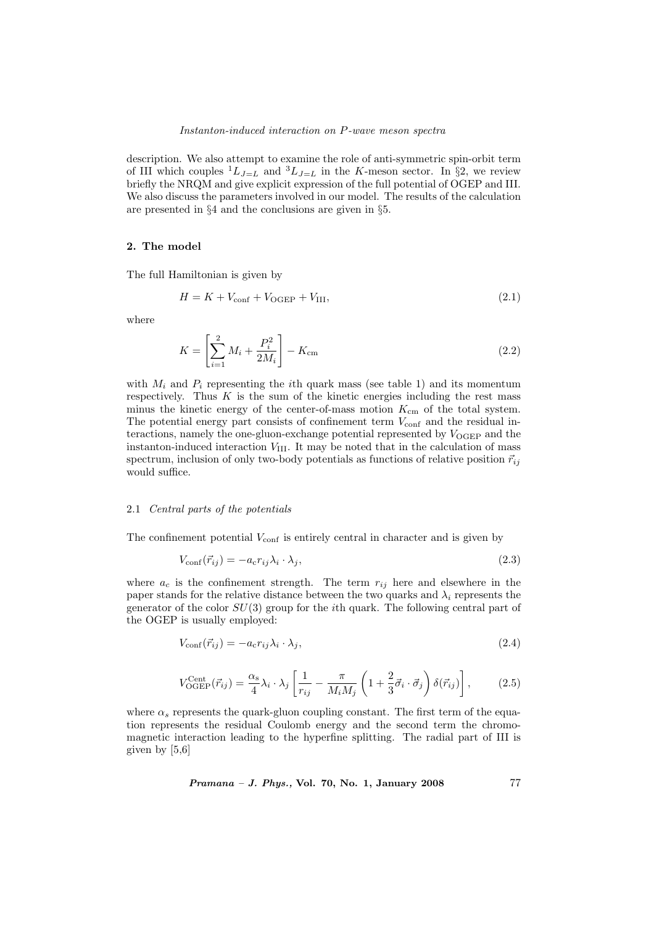description. We also attempt to examine the role of anti-symmetric spin-orbit term of III which couples  ${}^{1}L_{J=L}$  and  ${}^{3}L_{J=L}$  in the K-meson sector. In §2, we review briefly the NRQM and give explicit expression of the full potential of OGEP and III. We also discuss the parameters involved in our model. The results of the calculation are presented in §4 and the conclusions are given in §5.

### 2. The model

The full Hamiltonian is given by

$$
H = K + V_{\text{conf}} + V_{\text{OGEP}} + V_{\text{III}},\tag{2.1}
$$

where

$$
K = \left[\sum_{i=1}^{2} M_i + \frac{P_i^2}{2M_i}\right] - K_{\rm cm}
$$
\n(2.2)

with  $M_i$  and  $P_i$  representing the *i*th quark mass (see table 1) and its momentum respectively. Thus  $K$  is the sum of the kinetic energies including the rest mass minus the kinetic energy of the center-of-mass motion  $K_{\text{cm}}$  of the total system. The potential energy part consists of confinement term  $V_{\text{conf}}$  and the residual interactions, namely the one-gluon-exchange potential represented by  $V_{\text{OGEP}}$  and the instanton-induced interaction  $V_{\text{III}}$ . It may be noted that in the calculation of mass spectrum, inclusion of only two-body potentials as functions of relative position  $\vec{r}_{ij}$ would suffice.

# 2.1 Central parts of the potentials

The confinement potential  $V_{\text{conf}}$  is entirely central in character and is given by

$$
V_{\text{conf}}(\vec{r}_{ij}) = -a_{\text{c}}r_{ij}\lambda_i \cdot \lambda_j,\tag{2.3}
$$

where  $a_c$  is the confinement strength. The term  $r_{ij}$  here and elsewhere in the paper stands for the relative distance between the two quarks and  $\lambda_i$  represents the generator of the color  $SU(3)$  group for the *i*th quark. The following central part of the OGEP is usually employed:

$$
V_{\text{conf}}(\vec{r}_{ij}) = -a_{\text{c}}r_{ij}\lambda_i \cdot \lambda_j,\tag{2.4}
$$

$$
V_{\text{OGEP}}^{\text{Cent}}(\vec{r}_{ij}) = \frac{\alpha_{\text{s}}}{4} \lambda_i \cdot \lambda_j \left[ \frac{1}{r_{ij}} - \frac{\pi}{M_i M_j} \left( 1 + \frac{2}{3} \vec{\sigma}_i \cdot \vec{\sigma}_j \right) \delta(\vec{r}_{ij}) \right],\tag{2.5}
$$

where  $\alpha_s$  represents the quark-gluon coupling constant. The first term of the equation represents the residual Coulomb energy and the second term the chromomagnetic interaction leading to the hyperfine splitting. The radial part of III is given by [5,6]

$$
Pramana - J. Phys., Vol. 70, No. 1, January 2008 \t\t 77
$$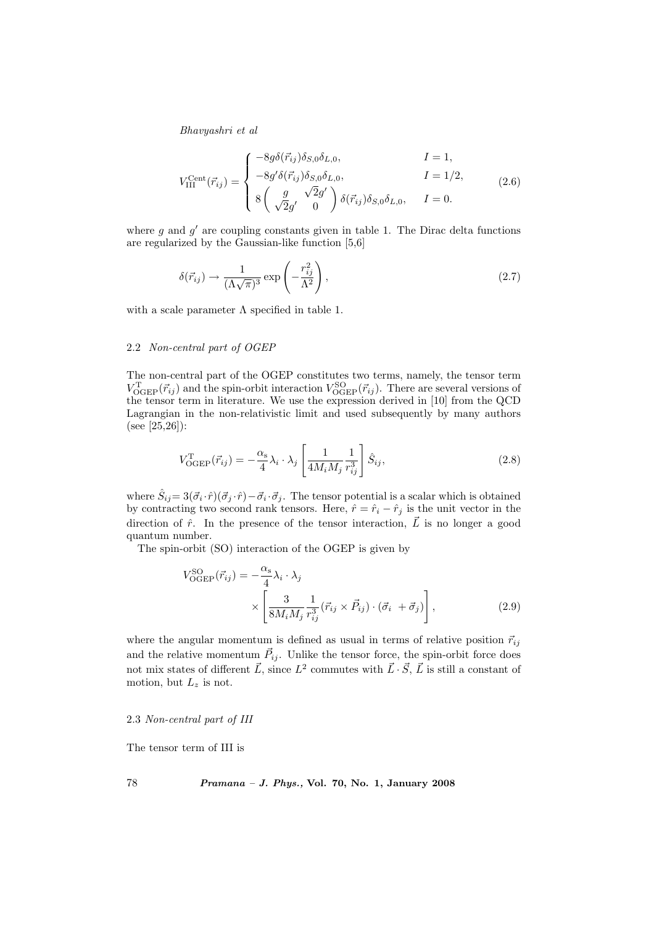Bhavyashri et al

$$
V_{\text{III}}^{\text{Cent}}(\vec{r}_{ij}) = \begin{cases} -8g\delta(\vec{r}_{ij})\delta_{S,0}\delta_{L,0}, & I = 1, \\ -8g'\delta(\vec{r}_{ij})\delta_{S,0}\delta_{L,0}, & I = 1/2, \\ 8\left(\begin{array}{cc} g & \sqrt{2}g' \\ \sqrt{2}g' & 0 \end{array}\right)\delta(\vec{r}_{ij})\delta_{S,0}\delta_{L,0}, & I = 0. \end{cases}
$$
(2.6)

where  $g$  and  $g'$  are coupling constants given in table 1. The Dirac delta functions are regularized by the Gaussian-like function [5,6]

$$
\delta(\vec{r}_{ij}) \to \frac{1}{(\Lambda\sqrt{\pi})^3} \exp\left(-\frac{r_{ij}^2}{\Lambda^2}\right),\tag{2.7}
$$

with a scale parameter  $\Lambda$  specified in table 1.

### 2.2 Non-central part of OGEP

The non-central part of the OGEP constitutes two terms, namely, the tensor term  $V_{\text{OGEP}}^{\text{T}}(\vec{r}_{ij})$  and the spin-orbit interaction  $V_{\text{OGEP}}^{\text{SO}}(\vec{r}_{ij})$ . There are several versions of the tensor term in literature. We use the expression derived in [10] from the QCD Lagrangian in the non-relativistic limit and used subsequently by many authors (see [25,26]):

$$
V_{\text{OGEP}}^{\text{T}}(\vec{r}_{ij}) = -\frac{\alpha_s}{4} \lambda_i \cdot \lambda_j \left[ \frac{1}{4M_i M_j} \frac{1}{r_{ij}^3} \right] \hat{S}_{ij},\tag{2.8}
$$

where  $\hat{S}_{ij} = 3(\vec{\sigma}_i \cdot \hat{r})(\vec{\sigma}_j \cdot \hat{r}) - \vec{\sigma}_i \cdot \vec{\sigma}_j$ . The tensor potential is a scalar which is obtained by contracting two second rank tensors. Here,  $\hat{r} = \hat{r}_i - \hat{r}_j$  is the unit vector in the direction of  $\hat{r}$ . In the presence of the tensor interaction,  $\vec{L}$  is no longer a good quantum number.

The spin-orbit (SO) interaction of the OGEP is given by

$$
V_{\text{OGEP}}^{\text{SO}}(\vec{r}_{ij}) = -\frac{\alpha_{\text{s}}}{4} \lambda_i \cdot \lambda_j
$$

$$
\times \left[ \frac{3}{8M_i M_j} \frac{1}{r_{ij}^3} (\vec{r}_{ij} \times \vec{P}_{ij}) \cdot (\vec{\sigma}_i + \vec{\sigma}_j) \right], \tag{2.9}
$$

where the angular momentum is defined as usual in terms of relative position  $\vec{r}_{ij}$ and the relative momentum  $\vec{P}_{ij}$ . Unlike the tensor force, the spin-orbit force does not mix states of different  $\vec{L}$ , since  $L^2$  commutes with  $\vec{L} \cdot \vec{S}$ ,  $\vec{L}$  is still a constant of motion, but  $L_z$  is not.

### 2.3 Non-central part of III

The tensor term of III is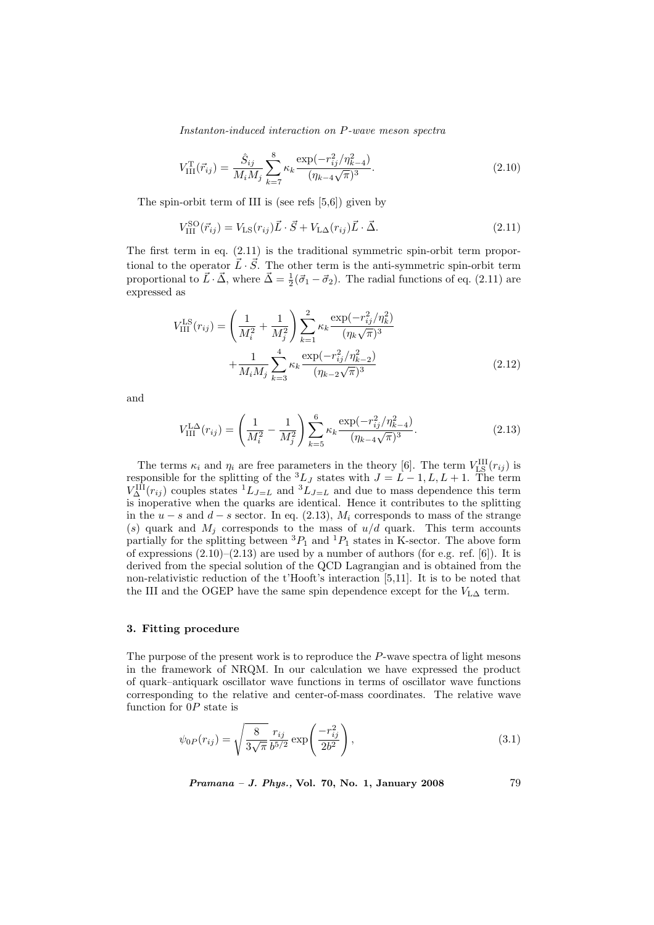Instanton-induced interaction on P-wave meson spectra

$$
V_{\text{III}}^{\text{T}}(\vec{r}_{ij}) = \frac{\hat{S}_{ij}}{M_i M_j} \sum_{k=7}^{8} \kappa_k \frac{\exp(-r_{ij}^2/\eta_{k-4}^2)}{(\eta_{k-4}\sqrt{\pi})^3}.
$$
\n(2.10)

The spin-orbit term of III is (see refs  $[5,6]$ ) given by

$$
V_{\text{III}}^{\text{SO}}(\vec{r}_{ij}) = V_{\text{LS}}(r_{ij}) \vec{L} \cdot \vec{S} + V_{\text{LA}}(r_{ij}) \vec{L} \cdot \vec{\Delta}.
$$
 (2.11)

The first term in eq. (2.11) is the traditional symmetric spin-orbit term proportional to the operator  $\vec{L} \cdot \vec{S}$ . The other term is the anti-symmetric spin-orbit term proportional to  $\vec{L} \cdot \vec{\Delta}$ , where  $\vec{\Delta} = \frac{1}{2}(\vec{\sigma}_1 - \vec{\sigma}_2)$ . The radial functions of eq. (2.11) are expressed as

$$
V_{\text{III}}^{\text{LS}}(r_{ij}) = \left(\frac{1}{M_i^2} + \frac{1}{M_j^2}\right) \sum_{k=1}^2 \kappa_k \frac{\exp(-r_{ij}^2/\eta_k^2)}{(\eta_k \sqrt{\pi})^3} + \frac{1}{M_i M_j} \sum_{k=3}^4 \kappa_k \frac{\exp(-r_{ij}^2/\eta_{k-2}^2)}{(\eta_{k-2}\sqrt{\pi})^3}
$$
(2.12)

and

$$
V_{\text{III}}^{\text{LA}}(r_{ij}) = \left(\frac{1}{M_i^2} - \frac{1}{M_j^2}\right) \sum_{k=5}^{6} \kappa_k \frac{\exp(-r_{ij}^2/\eta_{k-4}^2)}{(\eta_{k-4}\sqrt{\pi})^3}.
$$
 (2.13)

The terms  $\kappa_i$  and  $\eta_i$  are free parameters in the theory [6]. The term  $V_{\text{LS}}^{\text{III}}(r_{ij})$  is responsible for the splitting of the  ${}^3L_J$  states with  $J = L - 1, L, L + 1$ . The term  $V^{\text{III}}_{\Delta}(r_{ij})$  couples states  ${}^{1}L_{J=L}$  and  ${}^{3}L_{J=L}$  and due to mass dependence this term is inoperative when the quarks are identical. Hence it contributes to the splitting in the  $u - s$  and  $d - s$  sector. In eq. (2.13),  $M_i$  corresponds to mass of the strange (s) quark and  $M_j$  corresponds to the mass of  $u/d$  quark. This term accounts partially for the splitting between  ${}^{3}P_1$  and  ${}^{1}P_1$  states in K-sector. The above form of expressions  $(2.10)$ – $(2.13)$  are used by a number of authors (for e.g. ref. [6]). It is derived from the special solution of the QCD Lagrangian and is obtained from the non-relativistic reduction of the t'Hooft's interaction [5,11]. It is to be noted that the III and the OGEP have the same spin dependence except for the  $V_{\text{LA}}$  term.

### 3. Fitting procedure

The purpose of the present work is to reproduce the P-wave spectra of light mesons in the framework of NRQM. In our calculation we have expressed the product of quark–antiquark oscillator wave functions in terms of oscillator wave functions corresponding to the relative and center-of-mass coordinates. The relative wave function for  $0P$  state is

$$
\psi_{0P}(r_{ij}) = \sqrt{\frac{8}{3\sqrt{\pi}}} \frac{r_{ij}}{b^{5/2}} \exp\left(\frac{-r_{ij}^2}{2b^2}\right),\tag{3.1}
$$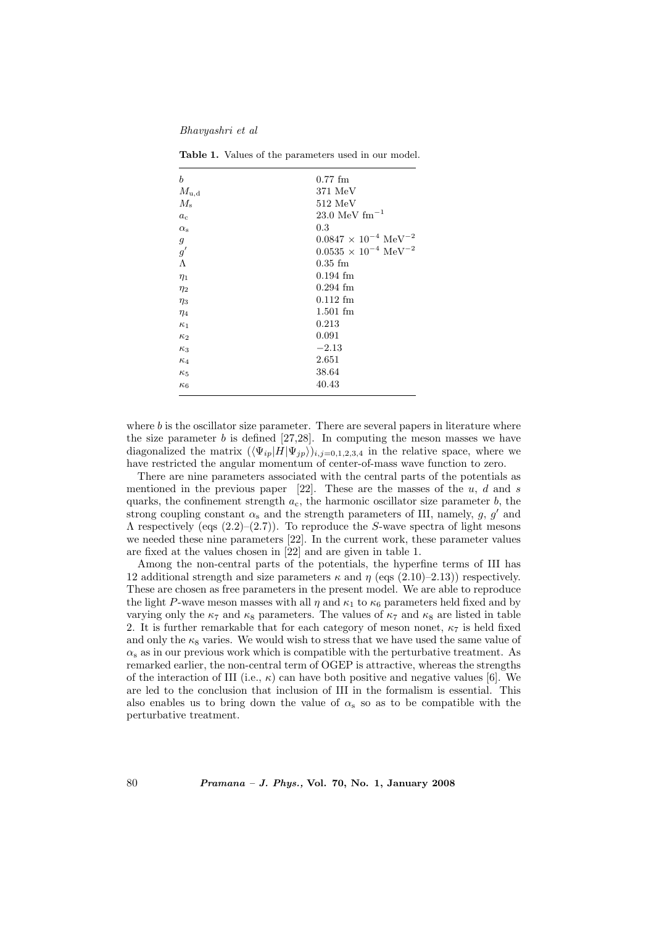Bhavyashri et al

| b                | $0.77$ fm                                   |
|------------------|---------------------------------------------|
| $M_{\rm u,d}$    | 371 MeV                                     |
| $M_{\rm s}$      | $512 \text{ MeV}$                           |
| $a_c$            | 23.0 MeV $\rm fm^{-1}$                      |
| $\alpha_{\rm s}$ | 0.3                                         |
| $\mathfrak{g}$   | $0.0847 \times 10^{-4} \text{ MeV}^{-2}$    |
| g'               | $0.0535\,\times\,10^{-4}~\mathrm{MeV}^{-2}$ |
| Λ                | $0.35$ fm                                   |
| $\eta_1$         | $0.194$ fm                                  |
| $\eta_2$         | $0.294$ fm                                  |
| $\eta_3$         | $0.112$ fm                                  |
| $\eta_4$         | $1.501$ fm                                  |
| $\kappa_1$       | 0.213                                       |
| $\kappa_2$       | 0.091                                       |
| $\kappa_3$       | $-2.13$                                     |
| $\kappa_4$       | 2.651                                       |
| $\kappa_5$       | 38.64                                       |
| $\kappa_6$       | 40.43                                       |

Table 1. Values of the parameters used in our model.

where  $b$  is the oscillator size parameter. There are several papers in literature where the size parameter  $b$  is defined [27,28]. In computing the meson masses we have diagonalized the matrix  $(\langle \Psi_{ip} | H | \Psi_{jp} \rangle)_{i,j=0,1,2,3,4}$  in the relative space, where we have restricted the angular momentum of center-of-mass wave function to zero.

There are nine parameters associated with the central parts of the potentials as mentioned in the previous paper [22]. These are the masses of the  $u, d$  and s quarks, the confinement strength  $a_c$ , the harmonic oscillator size parameter b, the strong coupling constant  $\alpha_s$  and the strength parameters of III, namely, g, g' and  $\Lambda$  respectively (eqs (2.2)–(2.7)). To reproduce the S-wave spectra of light mesons we needed these nine parameters [22]. In the current work, these parameter values are fixed at the values chosen in [22] and are given in table 1.

Among the non-central parts of the potentials, the hyperfine terms of III has 12 additional strength and size parameters  $\kappa$  and  $\eta$  (eqs (2.10)–2.13)) respectively. These are chosen as free parameters in the present model. We are able to reproduce the light P-wave meson masses with all  $\eta$  and  $\kappa_1$  to  $\kappa_6$  parameters held fixed and by varying only the  $\kappa_7$  and  $\kappa_8$  parameters. The values of  $\kappa_7$  and  $\kappa_8$  are listed in table 2. It is further remarkable that for each category of meson nonet,  $\kappa_7$  is held fixed and only the  $\kappa_8$  varies. We would wish to stress that we have used the same value of  $\alpha_s$  as in our previous work which is compatible with the perturbative treatment. As remarked earlier, the non-central term of OGEP is attractive, whereas the strengths of the interaction of III (i.e.,  $\kappa$ ) can have both positive and negative values [6]. We are led to the conclusion that inclusion of III in the formalism is essential. This also enables us to bring down the value of  $\alpha_s$  so as to be compatible with the perturbative treatment.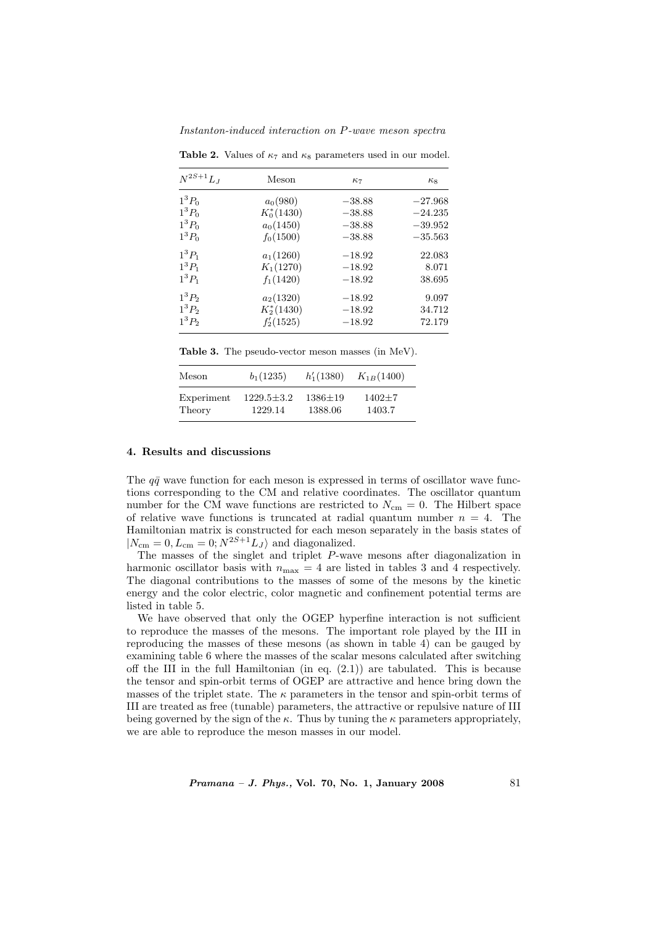Instanton-induced interaction on P-wave meson spectra

| $N^{2S+1}L_J$ | Meson          | $\kappa_7$ | $\kappa_8$ |
|---------------|----------------|------------|------------|
| $1^3P_0$      | $a_0(980)$     | $-38.88$   | $-27.968$  |
| $1^3P_0$      | $K_0^*(1430)$  | $-38.88$   | $-24.235$  |
| $1^3P_0$      | $a_0(1450)$    | $-38.88$   | $-39.952$  |
| $1^3P_0$      | $f_0(1500)$    | $-38.88$   | $-35.563$  |
| $1^3P_1$      | $a_1(1260)$    | $-18.92$   | 22.083     |
| $1^3P_1$      | $K_1(1270)$    | $-18.92$   | 8.071      |
| $1^3P_1$      | $f_1(1420)$    | $-18.92$   | 38.695     |
| $1^3P_2$      | $a_2(1320)$    | $-18.92$   | 9.097      |
| $1^3P_2$      | $K_2^*(1430)$  | $-18.92$   | 34.712     |
| $1^3P_2$      | $f'_{2}(1525)$ | $-18.92$   | 72.179     |

Table 2. Values of  $\kappa_7$  and  $\kappa_8$  parameters used in our model.

Table 3. The pseudo-vector meson masses (in MeV).

| Meson      | $b_1(1235)$      | $h'_1(1380)$  | $K_{1B}(1400)$ |
|------------|------------------|---------------|----------------|
| Experiment | $1229.5 \pm 3.2$ | $1386 \pm 19$ | $1402+7$       |
| Theory     | 1229.14          | 1388.06       | 1403.7         |

### 4. Results and discussions

The  $q\bar{q}$  wave function for each meson is expressed in terms of oscillator wave functions corresponding to the CM and relative coordinates. The oscillator quantum number for the CM wave functions are restricted to  $N_{\rm cm} = 0$ . The Hilbert space of relative wave functions is truncated at radial quantum number  $n = 4$ . The Hamiltonian matrix is constructed for each meson separately in the basis states of  $|N_{\text{cm}} = 0, L_{\text{cm}} = 0; N^{2S+1} L_J \rangle$  and diagonalized.

The masses of the singlet and triplet P-wave mesons after diagonalization in harmonic oscillator basis with  $n_{\text{max}} = 4$  are listed in tables 3 and 4 respectively. The diagonal contributions to the masses of some of the mesons by the kinetic energy and the color electric, color magnetic and confinement potential terms are listed in table 5.

We have observed that only the OGEP hyperfine interaction is not sufficient to reproduce the masses of the mesons. The important role played by the III in reproducing the masses of these mesons (as shown in table 4) can be gauged by examining table 6 where the masses of the scalar mesons calculated after switching off the III in the full Hamiltonian (in eq.  $(2.1)$ ) are tabulated. This is because the tensor and spin-orbit terms of OGEP are attractive and hence bring down the masses of the triplet state. The  $\kappa$  parameters in the tensor and spin-orbit terms of III are treated as free (tunable) parameters, the attractive or repulsive nature of III being governed by the sign of the  $\kappa$ . Thus by tuning the  $\kappa$  parameters appropriately, we are able to reproduce the meson masses in our model.

 $Pramana - J. Phys., Vol. 70, No. 1, January 2008  $81$$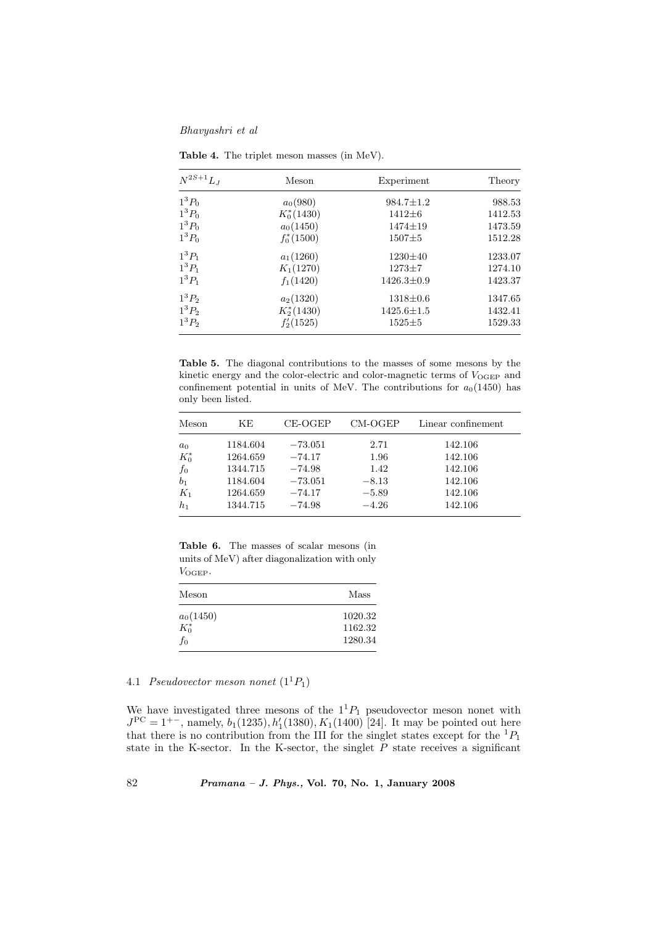Bhavyashri et al

| $N^{2S+1}L_1$ | Meson         | Experiment       | Theory  |
|---------------|---------------|------------------|---------|
| $1^3P_0$      | $a_0(980)$    | $984.7 \pm 1.2$  | 988.53  |
| $1^3P_0$      | $K_0^*(1430)$ | $1412 \pm 6$     | 1412.53 |
| $1^3P_0$      | $a_0(1450)$   | $1474 \pm 19$    | 1473.59 |
| $1^3P_0$      | $f_0^*(1500)$ | $1507 + 5$       | 1512.28 |
| $1^3P_1$      | $a_1(1260)$   | $1230 \pm 40$    | 1233.07 |
| $1^3P_1$      | $K_1(1270)$   | $1273 + 7$       | 1274.10 |
| $1^3P_1$      | $f_1(1420)$   | $1426.3 \pm 0.9$ | 1423.37 |
| $1^3P_2$      | $a_2(1320)$   | $1318 \pm 0.6$   | 1347.65 |
| $1^3 P_2$     | $K_2^*(1430)$ | $1425.6 \pm 1.5$ | 1432.41 |
| $1^3P_2$      | $f'_2(1525)$  | $1525 \pm 5$     | 1529.33 |

Table 4. The triplet meson masses (in MeV).

Table 5. The diagonal contributions to the masses of some mesons by the kinetic energy and the color-electric and color-magnetic terms of  $V_{\text{OGEP}}$  and confinement potential in units of MeV. The contributions for  $a_0(1450)$  has only been listed.

| Meson          | ΚE       | CE-OGEP   | $CM-OGEP$ | Linear confinement |
|----------------|----------|-----------|-----------|--------------------|
| $a_0$          | 1184.604 | $-73.051$ | 2.71      | 142.106            |
| $K_0^*$        | 1264.659 | $-74.17$  | 1.96      | 142.106            |
| $f_0$          | 1344.715 | $-74.98$  | 1.42      | 142.106            |
| b <sub>1</sub> | 1184.604 | $-73.051$ | $-8.13$   | 142.106            |
| $K_1$          | 1264.659 | $-74.17$  | $-5.89$   | 142.106            |
| $h_1$          | 1344.715 | $-74.98$  | $-4.26$   | 142.106            |

Table 6. The masses of scalar mesons (in units of MeV) after diagonalization with only VOGEP.

| Meson       | Mass    |
|-------------|---------|
| $a_0(1450)$ | 1020.32 |
| $K_0^*$     | 1162.32 |
| $f_{0}$     | 1280.34 |

# 4.1 Pseudovector meson nonet  $(1^1P_1)$

We have investigated three mesons of the  $1<sup>1</sup>P<sub>1</sub>$  pseudovector meson nonet with  $J^{PC} = 1^{+-}$ , namely,  $b_1(1235)$ ,  $h'_1(1380)$ ,  $K_1(1400)$  [24]. It may be pointed out here that there is no contribution from the III for the singlet states except for the  ${}^{1}P_{1}$ state in the K-sector. In the K-sector, the singlet  $\overline{P}$  state receives a significant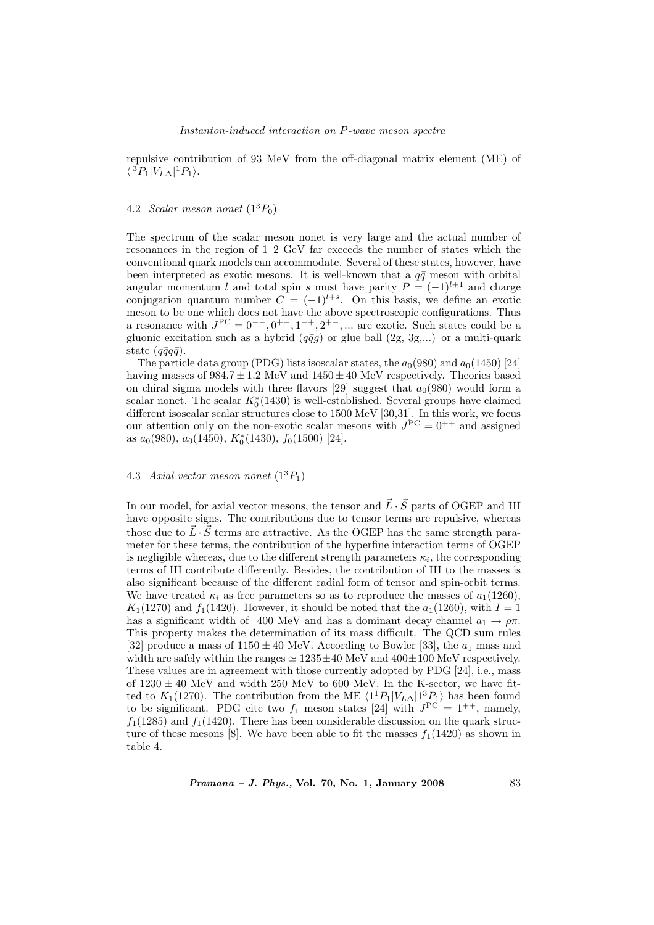repulsive contribution of 93 MeV from the off-diagonal matrix element (ME) of  $\langle {}^3P_1|V_{L\Delta} | {}^1P_1 \rangle.$ 

# 4.2 Scalar meson nonet  $(1^3P_0)$

The spectrum of the scalar meson nonet is very large and the actual number of resonances in the region of 1–2 GeV far exceeds the number of states which the conventional quark models can accommodate. Several of these states, however, have been interpreted as exotic mesons. It is well-known that a  $q\bar{q}$  meson with orbital angular momentum l and total spin s must have parity  $P = (-1)^{l+1}$  and charge conjugation quantum number  $C = (-1)^{l+s}$ . On this basis, we define an exotic meson to be one which does not have the above spectroscopic configurations. Thus a resonance with  $J^{PC} = 0^-$ ,  $0^+$ ,  $1^-$ ,  $2^+$ , ... are exotic. Such states could be a gluonic excitation such as a hybrid  $(q\bar{q}g)$  or glue ball  $(2g, 3g,...)$  or a multi-quark state  $(q\bar{q}q\bar{q})$ .

The particle data group (PDG) lists isoscalar states, the  $a_0(980)$  and  $a_0(1450)$  [24] having masses of  $984.7 \pm 1.2$  MeV and  $1450 \pm 40$  MeV respectively. Theories based on chiral sigma models with three flavors [29] suggest that  $a_0(980)$  would form a scalar nonet. The scalar  $K_0^*(1430)$  is well-established. Several groups have claimed different isoscalar scalar structures close to 1500 MeV [30,31]. In this work, we focus our attention only on the non-exotic scalar mesons with  $J^{PC} = 0^{++}$  and assigned as  $a_0(980)$ ,  $a_0(1450)$ ,  $K_0^*(1430)$ ,  $f_0(1500)$  [24].

# 4.3 Axial vector meson nonet  $(1^3P_1)$

In our model, for axial vector mesons, the tensor and  $\vec{L}\cdot\vec{S}$  parts of OGEP and III have opposite signs. The contributions due to tensor terms are repulsive, whereas those due to  $\vec{L} \cdot \vec{S}$  terms are attractive. As the OGEP has the same strength parameter for these terms, the contribution of the hyperfine interaction terms of OGEP is negligible whereas, due to the different strength parameters  $\kappa_i$ , the corresponding terms of III contribute differently. Besides, the contribution of III to the masses is also significant because of the different radial form of tensor and spin-orbit terms. We have treated  $\kappa_i$  as free parameters so as to reproduce the masses of  $a_1(1260)$ ,  $K_1(1270)$  and  $f_1(1420)$ . However, it should be noted that the  $a_1(1260)$ , with  $I=1$ has a significant width of 400 MeV and has a dominant decay channel  $a_1 \rightarrow \rho \pi$ . This property makes the determination of its mass difficult. The QCD sum rules [32] produce a mass of  $1150 \pm 40$  MeV. According to Bowler [33], the  $a_1$  mass and width are safely within the ranges  $\simeq 1235 \pm 40$  MeV and  $400 \pm 100$  MeV respectively. These values are in agreement with those currently adopted by PDG [24], i.e., mass of  $1230 \pm 40$  MeV and width 250 MeV to 600 MeV. In the K-sector, we have fitted to  $K_1(1270)$ . The contribution from the ME  $\langle 1^1P_1|V_{L\Delta}|1^3P_1\rangle$  has been found to be significant. PDG cite two  $f_1$  meson states [24] with  $J<sup>PC</sup> = 1<sup>++</sup>$ , namely,  $f_1(1285)$  and  $f_1(1420)$ . There has been considerable discussion on the quark structure of these mesons [8]. We have been able to fit the masses  $f_1(1420)$  as shown in table 4.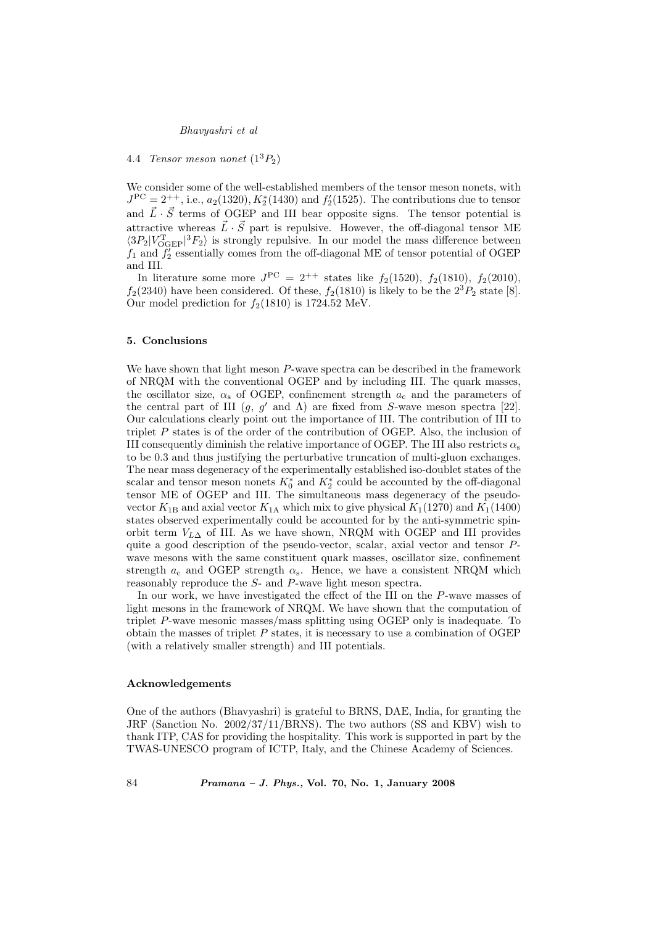### Bhavyashri et al

# 4.4 Tensor meson nonet  $(1^3P_2)$

We consider some of the well-established members of the tensor meson nonets, with  $J^{PC} = 2^{++}$ , i.e.,  $a_2(1320)$ ,  $K_2^*(1430)$  and  $f_2'(1525)$ . The contributions due to tensor and  $\vec{L} \cdot \vec{S}$  terms of OGEP and III bear opposite signs. The tensor potential is attractive whereas  $\vec{L} \cdot \vec{S}$  part is repulsive. However, the off-diagonal tensor ME  $\langle 3P_2|V_{\text{OGEP}}^{\text{T}}|^3F_2 \rangle$  is strongly repulsive. In our model the mass difference between  $f_1$  and  $f_2'$  essentially comes from the off-diagonal ME of tensor potential of OGEP and III.

In literature some more  $J^{PC} = 2^{++}$  states like  $f_2(1520)$ ,  $f_2(1810)$ ,  $f_2(2010)$ ,  $f_2(2340)$  have been considered. Of these,  $f_2(1810)$  is likely to be the  $2^3P_2$  state [8]. Our model prediction for  $f_2(1810)$  is 1724.52 MeV.

### 5. Conclusions

We have shown that light meson P-wave spectra can be described in the framework of NRQM with the conventional OGEP and by including III. The quark masses, the oscillator size,  $\alpha_s$  of OGEP, confinement strength  $a_c$  and the parameters of the central part of III  $(g, g'$  and  $\Lambda$ ) are fixed from S-wave meson spectra [22]. Our calculations clearly point out the importance of III. The contribution of III to triplet P states is of the order of the contribution of OGEP. Also, the inclusion of III consequently diminish the relative importance of OGEP. The III also restricts  $\alpha_s$ to be 0.3 and thus justifying the perturbative truncation of multi-gluon exchanges. The near mass degeneracy of the experimentally established iso-doublet states of the scalar and tensor meson nonets  $K_0^*$  and  $K_2^*$  could be accounted by the off-diagonal tensor ME of OGEP and III. The simultaneous mass degeneracy of the pseudovector  $K_{1B}$  and axial vector  $K_{1A}$  which mix to give physical  $K_1(1270)$  and  $K_1(1400)$ states observed experimentally could be accounted for by the anti-symmetric spinorbit term  $V_{L\Delta}$  of III. As we have shown, NRQM with OGEP and III provides quite a good description of the pseudo-vector, scalar, axial vector and tensor  $P$ wave mesons with the same constituent quark masses, oscillator size, confinement strength  $a_c$  and OGEP strength  $\alpha_s$ . Hence, we have a consistent NRQM which reasonably reproduce the S- and P-wave light meson spectra.

In our work, we have investigated the effect of the III on the P-wave masses of light mesons in the framework of NRQM. We have shown that the computation of triplet P-wave mesonic masses/mass splitting using OGEP only is inadequate. To obtain the masses of triplet  $P$  states, it is necessary to use a combination of OGEP (with a relatively smaller strength) and III potentials.

#### Acknowledgements

One of the authors (Bhavyashri) is grateful to BRNS, DAE, India, for granting the JRF (Sanction No. 2002/37/11/BRNS). The two authors (SS and KBV) wish to thank ITP, CAS for providing the hospitality. This work is supported in part by the TWAS-UNESCO program of ICTP, Italy, and the Chinese Academy of Sciences.